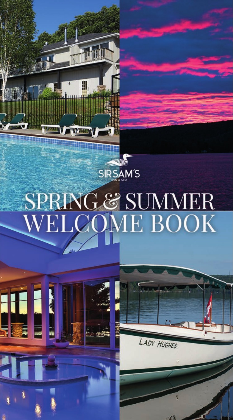

₩

# SPRING & SUMMER<br>WELCOME BOOK



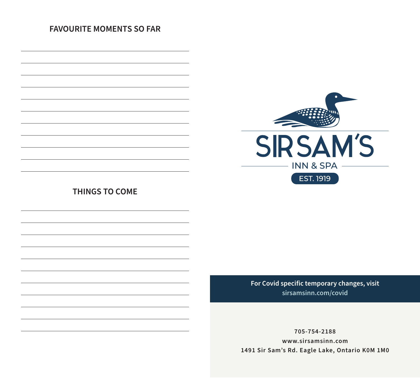#### **FAVOURITE MOMENTS SO FAR**



**THINGS TO COME**

**For Covid specific temporary changes, visit sirsamsinn.com/covid**

**705-754-2188 www.sirsamsinn.com 1491 Sir Sam's Rd. Eagle Lake, Ontario K0M 1M0**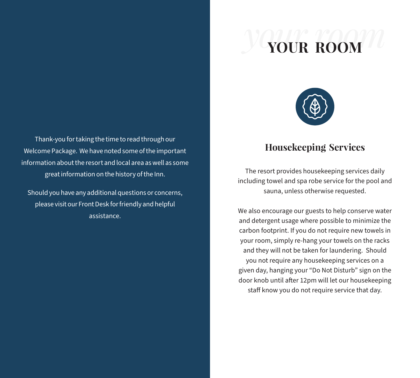# *your room* **YOUR ROOM**



Thank-you for taking the time to read through our Welcome Package. We have noted some of the important information about the resort and local area as well as some great information on the history of the Inn.

Should you have any additional questions or concerns, please visit our Front Desk for friendly and helpful assistance.

### **Housekeeping Services**

The resort provides housekeeping services daily including towel and spa robe service for the pool and sauna, unless otherwise requested.

We also encourage our guests to help conserve water and detergent usage where possible to minimize the carbon footprint. If you do not require new towels in your room, simply re-hang your towels on the racks and they will not be taken for laundering. Should you not require any housekeeping services on a given day, hanging your "Do Not Disturb" sign on the door knob until after 12pm will let our housekeeping staff know you do not require service that day.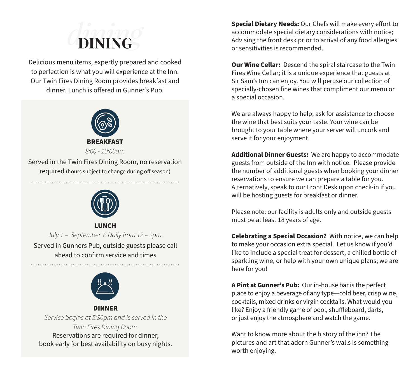# *dining* **DINING**

Delicious menu items, expertly prepared and cooked to perfection is what you will experience at the Inn. Our Twin Fires Dining Room provides breakfast and dinner. Lunch is offered in Gunner's Pub.



Served in the Twin Fires Dining Room, no reservation required (hours subject to change during off season)



LUNCH *July 1 – September 7: Daily from 12 – 2pm.* Served in Gunners Pub, outside guests please call ahead to confirm service and times



#### DINNER *Service begins at 5:30pm and is served in the Twin Fires Dining Room.*  Reservations are required for dinner, book early for best availability on busy nights.

**Special Dietary Needs:** Our Chefs will make every effort to accommodate special dietary considerations with notice; Advising the front desk prior to arrival of any food allergies or sensitivities is recommended.

**Our Wine Cellar:** Descend the spiral staircase to the Twin Fires Wine Cellar; it is a unique experience that guests at Sir Sam's Inn can enjoy. You will peruse our collection of specially-chosen fine wines that compliment our menu or a special occasion.

We are always happy to help; ask for assistance to choose the wine that best suits your taste. Your wine can be brought to your table where your server will uncork and serve it for your enjoyment.

**Additional Dinner Guests:** We are happy to accommodate guests from outside of the Inn with notice. Please provide the number of additional guests when booking your dinner reservations to ensure we can prepare a table for you. Alternatively, speak to our Front Desk upon check-in if you will be hosting guests for breakfast or dinner.

Please note: our facility is adults only and outside guests must be at least 18 years of age.

**Celebrating a Special Occasion?** With notice, we can help to make your occasion extra special. Let us know if you'd like to include a special treat for dessert, a chilled bottle of sparkling wine, or help with your own unique plans; we are here for you!

**A Pint at Gunner's Pub:** Our in-house bar is the perfect place to enjoy a beverage of any type—cold beer, crisp wine, cocktails, mixed drinks or virgin cocktails. What would you like? Enjoy a friendly game of pool, shuffleboard, darts, or just enjoy the atmosphere and watch the game.

Want to know more about the history of the inn? The pictures and art that adorn Gunner's walls is something worth enjoying.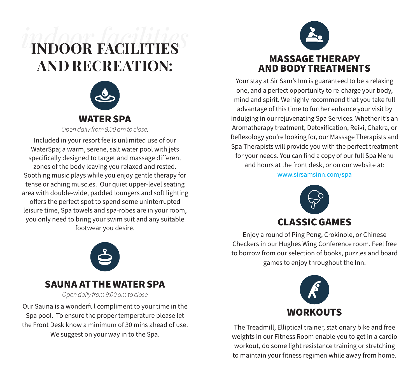# *indoor facilities* **INDOOR FACILITIES AND RECREATION:**



Included in your resort fee is unlimited use of our WaterSpa; a warm, serene, salt water pool with jets specifically designed to target and massage different zones of the body leaving you relaxed and rested. Soothing music plays while you enjoy gentle therapy for tense or aching muscles. Our quiet upper-level seating area with double-wide, padded loungers and soft lighting offers the perfect spot to spend some uninterrupted leisure time, Spa towels and spa-robes are in your room, you only need to bring your swim suit and any suitable footwear you desire.



Your stay at Sir Sam's Inn is guaranteed to be a relaxing one, and a perfect opportunity to re-charge your body, mind and spirit. We highly recommend that you take full advantage of this time to further enhance your visit by indulging in our rejuvenating Spa Services. Whether it's an Aromatherapy treatment, Detoxification, Reiki, Chakra, or Reflexology you're looking for, our Massage Therapists and Spa Therapists will provide you with the perfect treatment for your needs. You can find a copy of our full Spa Menu and hours at the front desk, or on our website at: www.sirsamsinn.com/spa



Enjoy a round of Ping Pong, Crokinole, or Chinese Checkers in our Hughes Wing Conference room. Feel free to borrow from our selection of books, puzzles and board games to enjoy throughout the Inn.



The Treadmill, Elliptical trainer, stationary bike and free weights in our Fitness Room enable you to get in a cardio workout, do some light resistance training or stretching to maintain your fitness regimen while away from home.



### SAUNA AT THE WATER SPA

*Open daily from 9:00 am to close*

Our Sauna is a wonderful compliment to your time in the Spa pool. To ensure the proper temperature please let the Front Desk know a minimum of 30 mins ahead of use. We suggest on your way in to the Spa.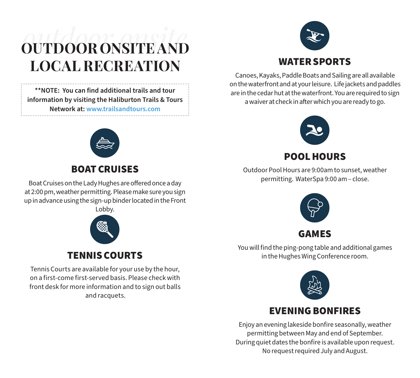# **OUTDOOR ONSITE AND** *outdoor onsite* **LOCAL RECREATION**

**\*\*NOTE: You can find additional trails and tour information by visiting the Haliburton Trails & Tours Network at: www.trailsandtours.com**



### BOAT CRUISES

Boat Cruises on the Lady Hughes are offered once a day at 2:00 pm, weather permitting. Please make sure you sign up in advance using the sign-up binder located in the Front Lobby.



### TENNIS COURTS

Tennis Courts are available for your use by the hour, on a first-come first-served basis. Please check with front desk for more information and to sign out balls and racquets.



Canoes, Kayaks, Paddle Boats and Sailing are all available on the waterfront and at your leisure. Life jackets and paddles are in the cedar hut at the waterfront. You are required to sign a waiver at check in after which you are ready to go.



POOL HOURS

Outdoor Pool Hours are 9:00am to sunset, weather permitting. WaterSpa 9:00 am – close.



You will find the ping-pong table and additional games in the Hughes Wing Conference room.



### EVENING BONFIRES

Enjoy an evening lakeside bonfire seasonally, weather permitting between May and end of September. During quiet dates the bonfire is available upon request. No request required July and August.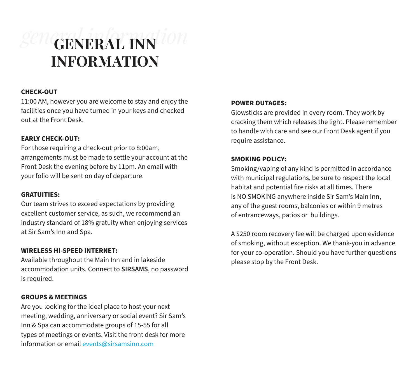# *general information* **GENERAL INN INFORMATION**

#### **CHECK-OUT**

11:00 AM, however you are welcome to stay and enjoy the facilities once you have turned in your keys and checked out at the Front Desk.

#### **EARLY CHECK-OUT:**

For those requiring a check-out prior to 8:00am, arrangements must be made to settle your account at the Front Desk the evening before by 11pm. An email with your folio will be sent on day of departure.

#### **GRATUITIES:**

Our team strives to exceed expectations by providing excellent customer service, as such, we recommend an industry standard of 18% gratuity when enjoying services at Sir Sam's Inn and Spa.

#### **WIRELESS HI-SPEED INTERNET:**

Available throughout the Main Inn and in lakeside accommodation units. Connect to **SIRSAMS**, no password is required.

#### **GROUPS & MEETINGS**

Are you looking for the ideal place to host your next meeting, wedding, anniversary or social event? Sir Sam's Inn & Spa can accommodate groups of 15-55 for all types of meetings or events. Visit the front desk for more information or email events@sirsamsinn.com

#### **POWER OUTAGES:**

Glowsticks are provided in every room. They work by cracking them which releases the light. Please remember to handle with care and see our Front Desk agent if you require assistance.

#### **SMOKING POLICY:**

Smoking/vaping of any kind is permitted in accordance with municipal regulations, be sure to respect the local habitat and potential fire risks at all times. There is NO SMOKING anywhere inside Sir Sam's Main Inn, any of the guest rooms, balconies or within 9 metres of entranceways, patios or buildings.

A \$250 room recovery fee will be charged upon evidence of smoking, without exception. We thank-you in advance for your co-operation. Should you have further questions please stop by the Front Desk.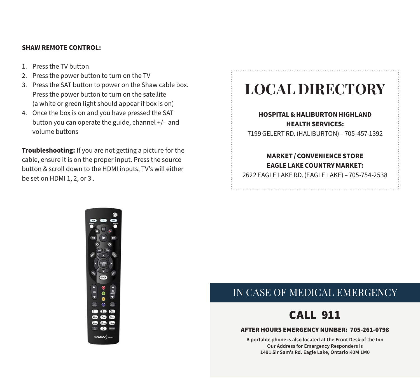#### **SHAW REMOTE CONTROL:**

- 1. Press the TV button
- 2. Press the power button to turn on the TV
- 3. Press the SAT button to power on the Shaw cable box. Press the power button to turn on the satellite (a white or green light should appear if box is on)
- 4. Once the box is on and you have pressed the SAT button you can operate the guide, channel +/- and volume buttons

**Troubleshooting:** If you are not getting a picture for the cable, ensure it is on the proper input. Press the source button & scroll down to the HDMI inputs, TV's will either be set on HDMI 1, 2, or 3 .

# **LOCAL DIRECTORY**

#### **HOSPITAL& HALIBURTON HIGHLAND HEALTH SERVICES:**

7199 GELERT RD. (HALIBURTON) – 705-457-1392

#### **MARKET / CONVENIENCE STORE EAGLE LAKE COUNTRY MARKET:**

2622 EAGLE LAKE RD. (EAGLE LAKE) – 705-754-2538



### IN CASE OF MEDICAL EMERGENCY

# CALL 911

#### AFTER HOURS EMERGENCY NUMBER: 705-261-0798

**A portable phone is also located at the Front Desk of the Inn Our Address for Emergency Responders is 1491 Sir Sam's Rd. Eagle Lake, Ontario K0M 1M0**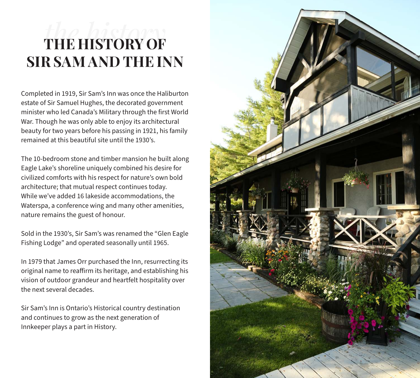# *the history* **THE HISTORY OF SIR SAM AND THE INN**

Completed in 1919, Sir Sam's Inn was once the Haliburton estate of Sir Samuel Hughes, the decorated government minister who led Canada's Military through the first World War. Though he was only able to enjoy its architectural beauty for two years before his passing in 1921, his family remained at this beautiful site until the 1930's.

The 10-bedroom stone and timber mansion he built along Eagle Lake's shoreline uniquely combined his desire for civilized comforts with his respect for nature's own bold architecture; that mutual respect continues today. While we've added 16 lakeside accommodations, the Waterspa, a conference wing and many other amenities, nature remains the guest of honour.

Sold in the 1930's, Sir Sam's was renamed the "Glen Eagle Fishing Lodge" and operated seasonally until 1965.

In 1979 that James Orr purchased the Inn, resurrecting its original name to reaffirm its heritage, and establishing his vision of outdoor grandeur and heartfelt hospitality over the next several decades.

Sir Sam's Inn is Ontario's Historical country destination and continues to grow as the next generation of Innkeeper plays a part in History.

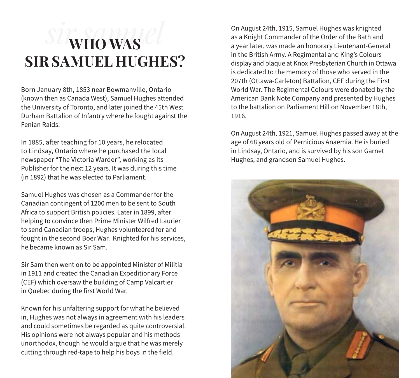# *sir samuel* **WHO WAS SIR SAMUEL HUGHES?**

Born January 8th, 1853 near Bowmanville, Ontario (known then as Canada West), Samuel Hughes attended the University of Toronto, and later joined the 45th West Durham Battalion of Infantry where he fought against the Fenian Raids.

In 1885, after teaching for 10 years, he relocated to Lindsay, Ontario where he purchased the local newspaper "The Victoria Warder", working as its Publisher for the next 12 years. It was during this time (in 1892) that he was elected to Parliament.

Samuel Hughes was chosen as a Commander for the Canadian contingent of 1200 men to be sent to South Africa to support British policies. Later in 1899, after helping to convince then Prime Minister Wilfred Laurier to send Canadian troops, Hughes volunteered for and fought in the second Boer War. Knighted for his services, he became known as Sir Sam.

Sir Sam then went on to be appointed Minister of Militia in 1911 and created the Canadian Expeditionary Force (CEF) which oversaw the building of Camp Valcartier in Quebec during the first World War.

Known for his unfaltering support for what he believed in, Hughes was not always in agreement with his leaders and could sometimes be regarded as quite controversial. His opinions were not always popular and his methods unorthodox, though he would argue that he was merely cutting through red-tape to help his boys in the field.

On August 24th, 1915, Samuel Hughes was knighted as a Knight Commander of the Order of the Bath and a year later, was made an honorary Lieutenant-General in the British Army. A Regimental and King's Colours display and plaque at Knox Presbyterian Church in Ottawa is dedicated to the memory of those who served in the 207th (Ottawa-Carleton) Battalion, CEF during the First World War. The Regimental Colours were donated by the American Bank Note Company and presented by Hughes to the battalion on Parliament Hill on November 18th, 1916.

On August 24th, 1921, Samuel Hughes passed away at the age of 68 years old of Pernicious Anaemia. He is buried in Lindsay, Ontario, and is survived by his son Garnet Hughes, and grandson Samuel Hughes.